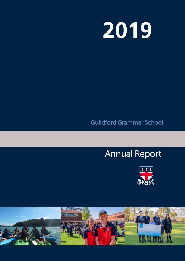# **2019**

# Guildford Grammar School

2016

# Annual Report



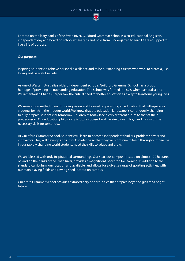

Located on the leafy banks of the Swan River, Guildford Grammar School is a co-educational Anglican, independent day and boarding school where girls and boys from Kindergarten to Year 12 are equipped to live a life of purpose.

Our purpose:

Inspiring students to achieve personal excellence and to be outstanding citizens who work to create a just, loving and peaceful society.

As one of Western Australia's oldest independent schools, Guildford Grammar School has a proud heritage of providing an outstanding education. The School was formed in 1896, when pastoralist and Parliamentarian Charles Harper saw the critical need for better education as a way to transform young lives.

We remain committed to our founding vision and focused on providing an education that will equip our students for life in the modern world. We know that the education landscape is continuously changing to fully prepare students for tomorrow. Children of today face a very different future to that of their predecessors. Our education philosophy is future-focused and we aim to instil boys and girls with the necessary skills for tomorrow.

At Guildford Grammar School, students will learn to become independent thinkers, problem solvers and innovators. They will develop a thirst for knowledge so that they will continue to learn throughout their life. In our rapidly changing world students need the skills to adapt and grow.

We are blessed with truly inspirational surroundings. Our spacious campus, located on almost 100 hectares of land on the banks of the Swan River, provides a magnificent backdrop for learning. In addition to the standard curriculum, our location and available land allows for a diverse range of sporting activities, with our main playing fields and rowing shed located on campus.

Guildford Grammar School provides extraordinary opportunities that prepare boys and girls for a bright future.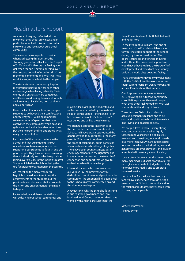

## Headmaster's Report

As you can imagine, I reflected a lot as my time at the School drew near, and in particular what I will miss most and what I truly value and love about our School community.

There are so many aspects to consider when addressing this question, the stunning grounds and facilities, the Chapel of St Mary and St George, the feeling you get when the sun is setting or rising over the campus, but as I reflected on all of the memorable moments and what I will miss most, it always came back to the people!

The students have continuously inspired me through their support for each other and courage when facing adversity. Their energy and enthusiasm are contagious, and I have loved seeing them excel in such a wide variety of activities, both curricular and co-curricular.

I love the fact that our school encourages students to go beyond their comfort zone and stereotypes. I will long remember so many students' speeches that have captivated the community, when boys and girls were bold and vulnerable, when they put their heart on the line and stated what really mattered to them.

I am proud of the student culture in the School and that our students live out our values. We have always focused on supporting our students to flourish and be good people. They have achieved amazing things individually and collectively, such as raising over \$90,000 for the World's Greatest Shave which led to the School being the top fundraising organisation in the country.

As I reflect on the many wonderful highlights, I am drawn to not only the achievements of the students, but the passionate and dedicated staff who create the vision and environment for the magic to happen.

I acknowledge and thank the staff who will be leaving our school community, and



in particular, highlight the dedicated and selfless service provided by the Assistant Head of Senior School, Peter Benzie. Peter has been an icon of the School over a 25 year period and will be greatly missed

We often talk about the importance of the partnership between parents and the School, and I have greatly appreciated the generosity and thoughtfulness of so many parents. This has not only been through the times of celebration, but in particular, when we have faced challenges together. There have been countless messages of encouragement at just the right time and I have admired witnessing the strength of connection and support that we give to each other when times are tough.

I thank all parents who have served on our various P&F committees, for your dedication, commitment and passion or the community. The emotional link people feel to the School is often commented on and this does not just happen.

A key factor in why the School is flourishing is due to strong governance and I am indebted to all Council members that I have worked with and in particular thank the

#### three Chairs, Michael Abbott, Mitchell Well and Roger Port.

To the President Dr William Ryan and all members of the Foundation I thank you for your incredible support of the School during my time as Headmaster. The Board is strategic and forward thinking and without their vison and support we would never have realised the Hockey Turf development and would not be currently building a world class boarding facility.

I have thoroughly enjoyed my involvement with the Old Guildfordian Association and thank current President Denys Warren and all past Presidents for their service.

Our Purpose statement was written in 2012 following an extensive community consultation process. We asked people what the School really stood for, what was special about it and why did we exist.

The outcome - 'To inspire students to achieve personal excellence and to be outstanding citizens who work to create a just, loving and peaceful society'.

Yes, we put 'love' in there - a very strong word and not one to be taken lightly. Close to nine years later, it is still just as relevant, and if anything, our world needs love more than ever. We are influenced to focus on ourselves, the individual, fear and xenophobia are ever prevalent, and division accentuated in so many areas of society.

Love is often thrown around as a word with many meanings, but at its heart is a call for us to give more freely, to judge less quickly, to forgive more readily and to embrace human diversity.

I am thankful for the love that I and my family have experienced through being a member of our School community and for the relationships that we have shared with so many special people.

Mr Stephen Webber HEADMASTER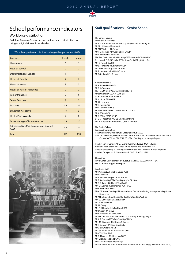#### 2019 ANNUAL REPORT



## School performance indicators

#### Workforce distribution

Guildford Grammar School has one staff member that identifies as being Aboriginal/Torres Strait Islander.

| Workplace profile and distribution by gender (permanent staff) |                |                |  |  |  |
|----------------------------------------------------------------|----------------|----------------|--|--|--|
| Category                                                       | female         | male           |  |  |  |
| Headmaster                                                     | $\Omega$       | $\mathbf{1}$   |  |  |  |
| <b>Head of School</b>                                          | $\Omega$       | $\overline{2}$ |  |  |  |
| <b>Deputy Heads of School</b>                                  | $\mathbf{1}$   | $\mathbf{1}$   |  |  |  |
| <b>Heads of Faculty</b>                                        | $\overline{2}$ | $\overline{7}$ |  |  |  |
| <b>Heads of House</b>                                          | 3              | 5              |  |  |  |
| <b>Heads of Halls of Residence</b>                             | $\Omega$       | $\overline{2}$ |  |  |  |
| <b>Senior Managers</b>                                         | $\overline{2}$ | 5              |  |  |  |
| <b>Senior Teachers</b>                                         | $\overline{2}$ | $\overline{2}$ |  |  |  |
| <b>Teachers</b>                                                | 55             | 34             |  |  |  |
| <b>Education Assistants</b>                                    | 19             | $\overline{3}$ |  |  |  |
| <b>Health Professionals</b>                                    | $\overline{4}$ | $\Omega$       |  |  |  |
| <b>Other Managers/Administrators</b>                           | 13             | 16             |  |  |  |
| Administrative, Maintenance and Support<br>Staff               | 44             | 32             |  |  |  |
| <b>Total</b>                                                   | 145            | 110            |  |  |  |



#### Staff qualifications – Senior School

The School Council Fellows of the Council Mr R M Port BA FCA SF Fin FAICD (Chair) Elected from August Mr M J Hillgrove (Treasurer) Mr M M Wells LLB BComm Mr P McLachlan ADVDipFin Serv GAICD Mr R B Lester BEc FFin GAICD The Rev Dr G J Seach BA Hons DipEdBD Hons AdvDip Min PhD Dr J Howell PhD MEd MEd TESOL GradCertEd Mngt BArts Bed Mrs D Norrish GAICD Mr S Johnstone BBus MLM MAICD Mrs M Brown BAppSci GradDipEd Mr P Lampropoulos LLB, BComm Mr Peter Kerr BEc, IA Hons

Honorary Fellows Mr A R Peterkin BA BEM Mr R A Cameron The Hon Mr J L C Wickham LLB QC Hon D Mr J D Clarkson FASA AHA MRSH Dr H Campbell Pope MBBS JP Mr K I Brine FAIB OAM Mr J L Longson Mr P J Dempster Mr R L Day FCPA FCIS Prof The Hon Justice D K Malcolm AC QC KCSJ Mr A R Terry FCA Mr D F Way FRAIA ARIBA Dr G M Fitzpatrick PhD BE MBA FAICD FAIM Mrs H M Yeates BA Hons GAICD, FACEL WA Hon

The Senior School Senior Administration Headmaster: Mr S Webber BSc GradDipEd MEd MACE Director of Finance, Secretary to the Council, Executive Officer GGS Foundation: Mr T Cocks CA CTP Snr CTA FGIA FCIS BBus GradDipAccounting MEdplus

Head of Senior School: Mr B J Evans BCom GradDipEd MBA (EdLship) Assistant Head of Senior School: Mr P B Benzie BEd AssIndArts MA Director of Teaching & Learning: Dr J Harris BSc Hons MEd PGCE PhD CMgr FIML Head of Catalyst: Mr G F Lawson BPHE DipEd GradDip HRM

Chaplaincy

Rev'd Canon Dr P Raymont BA BEdStud MEd PhD MACE MAPHA FRSA Rev'd T B Moss BAppSc BD DipEd

- Academic Staff Mr I Adcock BA Hons Bus Studs PGCE Mr J Allen BEd Ms L S Allen BA Psych DipEd MALPE Mr P R Ashby DipT BEd GradDipAppSc Dip Bus Mr A C Bacon BSc Hons PGradCertE Mrs S E Barnes BSc Hons MSc PGC PGCE Miss A N Barron BHPE Miss E F Brown GradDipEd BAMassComm Cert 1V Marketing Management DipHuman Resources Mr M Burbidge GradDipEd MSc Bsc Hons GradDipAcc& Sc Mrs S J Carroll BEd BAMassComm Mrs N E Carter Bed Mr J R Casey Mrs D J Chamberlain BA Hons PGCE Mr J Cheah BA DipEd Mr A J Creuzot BA GradDipEd Mr M P Dell BSc Hons GradCertEd MSc Fishery & Biology Mgmt Mr A A Derums M VisArts GradDipEd BFA Mrs J S Diamond BEd Drama & Dance Mr H Dobson BA Hons GradDipEd Mr C B Dymock BA BEd
	- Mr Q R Edmonds BA ADPA GradDipEd

Miss T L Elliott BEd

Mr D J Fawcett BSc Hons MA PGCE

Mrs L N Felstead BEd BCArts

Mr L N Fernandes BPhysEd DipT

Ms J M Finnie BA Hons PGradCertEd MEd PGradDipCoaching (Director of Girls' Sport)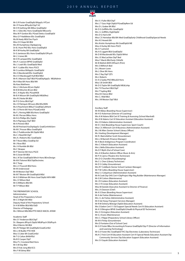#### 2019 ANNUAL REPORT

Mr G R Foster GradDipEd BAppSc HTCert Mr I P Frame BPhysEd DipT HC Mr D R Gething MA BMus GradDipEd Mr J J Giles BSc Hons GradDipEd MExcerSc Miss M P Gordon BSc PGrad Dietics GradDipEd Miss G P Haddleton BSc GradDipEd Ms M Healy MEd Dev Psych Miss O E Hope BA BEd Mrs M Humphreys DipAppLing Dr B J Hunt PhD BSc Hons GradDipEd Mr K M Hurley BA GradDipEd Dr G Jamieson BSc Hons GradDipEd DPsych Mr L S Jones BA Mr D R Lampard BSc GradDipEd Mrs P J Lawson BPHE GradDipEd Ms J J Leah BSc GradDipEd Med Mr F J Lubbe BSc Hons PGCE Mr S Lumbus BAAppSc GradDipEd Mrs S Macdonald BSc GradDipEd Ms U O Macdougall-Hull BEd MEd Mr R J Manson DipT BEd PGradDipAppSc MEdAdmin Ms H Mao BA Hons BEd MA Ms Kara Matthews Mrs L S McGuire BCom DipEd Mr B M Minchin BCom BEd Mr C A Naylor BSc PGradHDE Mr B A Nilsson BA GradDipEd MEd(Res) Mrs R E Notte BA BEd Mr P D Orriss BEd DipT Ms J D Patriquin MCouns BEd BScHKIN Ms A Peachment BMusT GradDipCultHerit Mr J O Perrin BA Hons PGradCertEd Ms F L Perring MBA BScHons GradDipEd Mr M J Pervan BMus Hons Mr N G Phillips BSc DipEd Ms A Pigneguy DipT BED Mr A Preston BEd Ms M Pritchard AssDipAppSc GradCertInfoServ Mr M C Prosser BBus GradDipEd Mrs C Puddicombe BA DipEd MEd Ms C J Reed BA DipT Mrs A J Roberts BSc GradDipEd Mr T Roost BBus GradDip Ed Mr J Rose BEd Ms J H Rumble BA BEd Ms C Skrapac Mr P Stenner BA Hons PGCE Mr G Swan BA BEd Ms L N Tan GradDipEd BArch Hons BEnvDesign Mr M K Tolomei BEd DipElectrotec Mr C Toop Mrs L E Truscott BEd Hons Mr M Underwood Mr M Weston DipT BEd Mr M T Weston BA GradDipEd MEd Mr A S Wildman BA Hons Grad DipEd AIFA MBII Mrs J V Wilson Bed Mr G Williams BEd BA Mr T P Wilson BEd

THE PREPARATORY SCHOOL Administration Head of the Preparatory School: Mr C E Wight BA MEd Deputy Head of the Preparatory School: Dr H M Miller BEd MEd EdD Director of Pedagogy: Ms J Wilmot MEd BEd PTD MACE MACEL AFAIM

Academic Staff Mrs S F Anderson BEd DipT Dr J Baayens BPsych DipEd MEdPsych DEdPsych Miss K Bernic BA BEd Mrs R P Bolger BA GradDIpEd GradCertEd Mrs L M Budler PTD HDE Miss S Coker BA GradCertEd Mr T G Colton BHlthPEd Ms B E Cooper DipT Miss P L Crossland Bed Hons Mr S M Day BEd Mrs E R de Jong BEd ECS Mrs F M Edney BEd

 $\sum_{i=1}^n$ 

Mrs V J Fuller BEd DipT Mrs L T Gass High DipEd PGradDipRem Ed Mrs D L Graber BA BEd Mr D G Griffiths BSc GradDipEd Mrs J L Griffiths HighDipEd Mrs D G Harris BA Miss C E Hemelaar BEd BA Med GradDipEarly Childhood GradDipSpecial Needs Mrs K E Hewett RA Mrs Kristin Humphreys BA GradDipEd ME Miss A Hurley BA Hons PGCE Ms S F Lamond Ms A E Liggett BEd GradDipEd Mr D M Macdonald BSc DipEd MHist Mrs J E MacLachlan DipT Bed Miss F Marsh BEd Early ChlhdSt Mr B Mattick BAFA MTeach (Prim) Mrs S Milhinch Bed Dr L Mosen-Lowe Ms L Olver BA Hons Mrs C Ray DipT QTS Ms L Roberts Dr A G Saxby PhD BMusEd Hons Miss S B Smith BEd Mr D G Taylor BA GradDipEd MEdLship Mrs T R Teuchert BEd DipT Mrs T Tupling BEd Miss B A Vance BEd Mrs C J Wall BEd Mrs J M Weston DipT BEd Ancillary Staff Mr M Abbas (Boarding House Supervisor) Mr H D Ackerman (Director of Coaching) Mrs A M Adams BEd Cert IV Training & Assessing (School Marshall) Mrs K M Adams Cert IV Education Assistant (Education Assistant) Mrs S R Adams (Administration Assistant) Mr E C Aird (Boarding House Supervisor, Sport Coach) Miss C E Alfirevich Cert III Business (Administration Assistant) Ms J M Allen (Senior School Library Officer) Ms I Aveling (Development Manager) Mr R J Bairnsfather-Scott (Groundsman) Mrs L M Barnett (Finance Manager) Mr A Beck (Indigenous Program Coordinator) Mrs C A Beech (Education Assistant) Mrs L Bella (Education Assistant) Ms D F Blyth (Out of School Care) Mrs A N Boehm (Admin Officer Music & Arts)

Mr P A Cairns (Theatre Arts Technician) Mrs D G Chandler (Housekeeping) Ms C-L Chen (Library Technician) Mr D S Cobby (Groundsman) Mrs R F Coldbeck (Senior School Canteen Manager) Mr T W Collins (Boarding House Supervisor) Miss S J Colquhoun (Administration Assistant) Mr N Cook Dip OHS Cert 4 DipProject Mgr Reg Builder (Maintenance Manager) Mr G W Cotton (Maintenance) Mr J R Credaro (Education Assistant) Mrs C R Cronje (Education Assistant) Miss M Daniele (Executive Assistant to Director of Finance) Mrs J A Dawson (Chef) Mr A S Dean (Boarding House Supervisor) Mr A de Freitas (Maintenance) Mrs J L de Freitas (Administrative Assistant) Mr D de Hoog (Transport Services Manager) Mr R M Doheny BDesign DipEd (Education Assistant) Mrs S Eadon Cert111 Ed Support Special Needs Cert IV (Education Assistant) Mr A S Elkington BPHE GradDipEd (Health & Physical ED Technician) Mrs S I Errington (Education Assistant) Mr G J Evans (Maintenance) Mrs C J Filippi (Preparatory School Library Officer) Mr M A Finlay (Groundsman)

Mrs D Fontaine (Out of School Care)

Mr G E Foster BBus Accounting & Finance GradDipEd Dip IT (Director of Information and Learning Technology)

Mr G E Foster BSc GradDipEd THC Dip Electrotec (Laboratory Technician)

Ms K C Frick Cert III Education Assistant Cert IV Special Needs Education Assistant Dip Community Services Dip Education Support (Education Assistant)

Mrs S V Gayski (Education Assistant)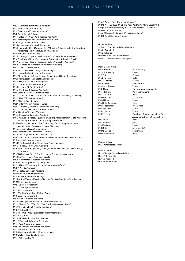Ms J M Gerrans (Administrative Assistant) Mr J A Goncalves (Groundsman) Miss T J Goodwin (Education Assistant) Ms R Gulati (Payroll Officer) Mrs K C Hadlow TA Cert AC (Education Assistant) Ms A J Harvey (Executive Assistant to Headmaster) Mr A Hillgrove (Out of School Care) Mrs J A Hounslow (Crosswalk Attendant) Mrs C Hughes Cert III Ed Support, Cert IV Training & Assessing, Cert IV Education Assistant Special Needs (Education Assistant) Mr I W Hughes (Maintenance) Mrs P Huntington (Sports Development Coordinator, Equestrian Coach) Mr A C Jo-Kovacs (Sports Development Coordinator, Swimming Coach) Mrs A D Johnson (Head of Preparatory School's Executive Assistant) Mrs J J Johnson (Enrolments Administration Assistant) Mrs C L Jones (Kitchen Hand) Mr B Jurich (Technician, Design & Technology) Miss J Kappelle (Administration Assistant) Miss V Kent Dip of Lib & Info Services (Senior School Library Technician) Mr J S Kerr (Sport Coach, Boat Shed Manager) Mr J P Kingston (Caretaker Stronghills) Mrs U D Krautmann (Housekeeping) Mrs T L Laurito DipBus (Registrar) Mrs L-A Ledward (Education Assistant) Mr E E Lesk (Boarding House Supervisor) Mrs L F Liddiard DipBus (Executive Assistant Director of Teaching & Learning) Mrs H J Lim (Education Assistant) Mr J C Lintern (Maintenance) Ms M Lintern (Administration Finance) Mr R D Longson (Director of Community Relations) Mrs G Lopez (Human Resources Administrator) Mr A J Lovrich (Director of Rowing) Mrs S D Macaulay (Education Assistant) Mrs G MacDonald AssocDegGenStud AssocDip Mgt Diploma in Digital Marketing (Marketing & Public Relations Manager/Webmaster) Mr M Malhotra CPA, MAAcc, GradDipBus Mgt, Cert iV Competitive Process Manufacturing, BABusMgt (Finance Manager) Mrs S J Manolini (Education Assistant) Mr P S Marshall (Facilities Manager Hockey) Mrs K J McCaughey (Laboratory Technician) Ms M S McCracken Dip Couns (Executive Assistant to Head of Senior School) Mr R McDonald (Groundsman) Mrs J V McRoberts DipBus (Compliance Project Manager) Mrs C Nisbet (Clothing Shop Assistant) Ms C Noort Dip Management (Careers, Workplace Learning and VET Pathways Coordinator) Mrs M O'Donovan BA LLB GradDip Human Resources (Housemother) Mrs T L O'Neil (Finance Accounts Payable) Mrs T M Partington (Education Assistant) Mr P Pieloor (Graphic Artist/Videographer) Mrs H J Pinelli (Preparatory School Administration Officer) Ms L D Preedy (Printery) Mrs G Radley (Education Assistant) Mr D Ratcliffe (Boarding Resident) Miss A L Renzullo (Housekeeping) Mrs T M Roki (Financial Services Manager, Events & Functions Co-ordinator) Mr M Salter (Maintenance) Mr S J Salter (Groundsman) Mrs G L Smith (Enrolments) Mr S Smith (Catering) Miss P Smith-Crowe (Out of School Care) Mr C Stuart (Groundsman) Mrs T Swan (Education Assistant) Mrs K Teo BPsych MBus (Director of Human Resources) Mrs K F Timms Cert IV Bus Cert IV OHS (Administration Assistant) Mrs E Tolich (Kitchen & Functions Assistant) Mr G F Torley (Chef) Miss K L Trimble AssDegSc LibTech (Library Technician) Mr G Tseng (Chef) Mrs A J Tucker (Clothing Shop Manager) Miss E J Tuckwell (Education Assistant) Mrs R Vagg (Cleaning Manager) Ms B Van Herk (Administration Assistant) Ms J Vance (Education Assistant) Mr D J Walkington DipHort (Grounds Manager) Mr N Wallace (Boarding Resident) Mrs R Waller (Archivist)

Mr A P Warren Food & beverage Manager) Mr D S Williams BBus (Mkt & Tsm Mgt) AdvDipProjMgmt Cert IV OHS F Edplus (Executive Director, The Old Guildfordians Association) Mr D Wood (Groundsman) Mrs A-M Wytkin DipEdAssist (Education Assistant) Mr D R York (Director of Property)

House Mothers Sir Francis Burt Senior Hall of Residence: Mrs L-J Campbell Mrs J de Freitas Malcolm Junior Hall of Residence: Ms M O'Donovan BA LLB GradDipHR

Instrumental Tutors Mrs A Boehm (Accompanist) Mrs C A Browning (Piano) Mr S Cutri (Guitar) Mrs B J Deacon (Cello) Mr J D Edwards (Guitar) Mrs E L Fitch (French Horn) Mrs J M Holdsworth (Flute) Miss T LeBrun (Percussion/Drums) Ms T D Martin (Voice) Mr D Martinus (Jazz Piano) Ms B J Newell (Piano) Mrs I Otto-Johansen (Voice) Mrs A Peachment (Violin/Viola) Mr A J Pearson (Drum)<br>
Mr M J Perkins (Drum) Mr M I Perkins Mr T Pollio (Piano) Mr S V Pooley (Bass) Mrs M A Roberts (Piano)

Mr B J Kruger (Violin/ Viola, Accompanist) Mr M Pervan (Trombone, Trumpet, phonium, Tuba, Sousaphone, Theory, Composition) Mr D R Slee (Accompanist) Mr D B Swope (Saxophone) Mr M Underwood (Voice)

Medical Officer Dr D Prendergast BSc MB BS

Medical Centre Nurse Manager V J Bellinge RN RM Nurse S Burrows RN Nurse C J Cahill RN Nurse A Edwards RN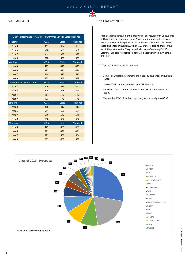

#### NAPLAN 2019

| Mean Performance for Guildford Grammar School, State, National |     |              |                 |  |  |  |
|----------------------------------------------------------------|-----|--------------|-----------------|--|--|--|
| Reading                                                        | GGS | <b>State</b> | <b>National</b> |  |  |  |
| Year <sub>3</sub>                                              | 461 | 427          | 423             |  |  |  |
| Year 5                                                         | 546 | 504          | 506             |  |  |  |
| Year 7                                                         | 584 | 546          | 546             |  |  |  |
| Year 9                                                         | 618 | 589          | 580             |  |  |  |
| Writing                                                        | GGS | <b>State</b> | <b>National</b> |  |  |  |
| Year <sub>3</sub>                                              | 419 | 420          | 423             |  |  |  |
| Year 5                                                         | 493 | 471          | 474             |  |  |  |
| Year 7                                                         | 539 | 513          | 513             |  |  |  |
| Year 9                                                         | 583 | 558          | 549             |  |  |  |
| <b>Grammar and Punctuation</b>                                 | GGS | <b>State</b> | <b>National</b> |  |  |  |
| Year <sub>3</sub>                                              | 446 | 435          | 440             |  |  |  |
| Year 5                                                         | 524 | 498          | 499             |  |  |  |
| Year 7                                                         | 561 | 542          | 542             |  |  |  |
| Year 9                                                         | 597 | 579          | 573             |  |  |  |
| Spelling                                                       | GGS | <b>State</b> | <b>National</b> |  |  |  |
| Year <sub>3</sub>                                              | 416 | 412          | 419             |  |  |  |
| Year 5                                                         | 511 | 500          | 501             |  |  |  |
| Year 7                                                         | 565 | 547          | 546             |  |  |  |
| Year 9                                                         | 600 | 587          | 582             |  |  |  |
| <b>Numeracy</b>                                                | GGS | <b>State</b> | <b>National</b> |  |  |  |
| Year <sub>3</sub>                                              | 425 | 405          | 408             |  |  |  |
| Year 5                                                         | 521 | 492          | 496             |  |  |  |
| Year 7                                                         | 599 | 558          | 554             |  |  |  |
| Year 9                                                         | 635 | 602          | 592             |  |  |  |

#### The Class of 2019

High academic achievement is a feature of our results, with 28 students (24% of those sitting four or more ATAR examinations) achieving an ATAR above 90, ranking their results in the top 10% nationally. Six of these students achieved an ATAR of 97.5 or more, placing them in the top 2.5% Australiawide. They have the honour of entering Guildford Grammar School's Academic Honour Guild (previously known as the 400 club).

A snapshot of the Class of 2019 reveals:

- 76% of all Guildford Grammar School Year 12 students achieved an ATAR
- 24% of ATAR students achieved an ATAR above 90
- A further 22% of students achieved an ATAR of between 80 and 89.95
- The median ATAR of students applying for University was 80.35.

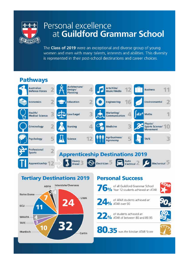

# Personal excellence at Guildford Grammar School

The Class of 2019 were an exceptional and diverse group of young women and men with many talents, interests and abilities. This diversity is represented in their post-school destinations and career choices.

# **Pathways**





## **Personal Success**

24% ATAR over 90

of all Guildford Grammar School<br>12 Students achieved an ATAR

of ATAR students achieved an

- 
- 



80.35 was the Median ATAR Score

22% of students achieved an<br>22% ATAR of between 80 and 89.95